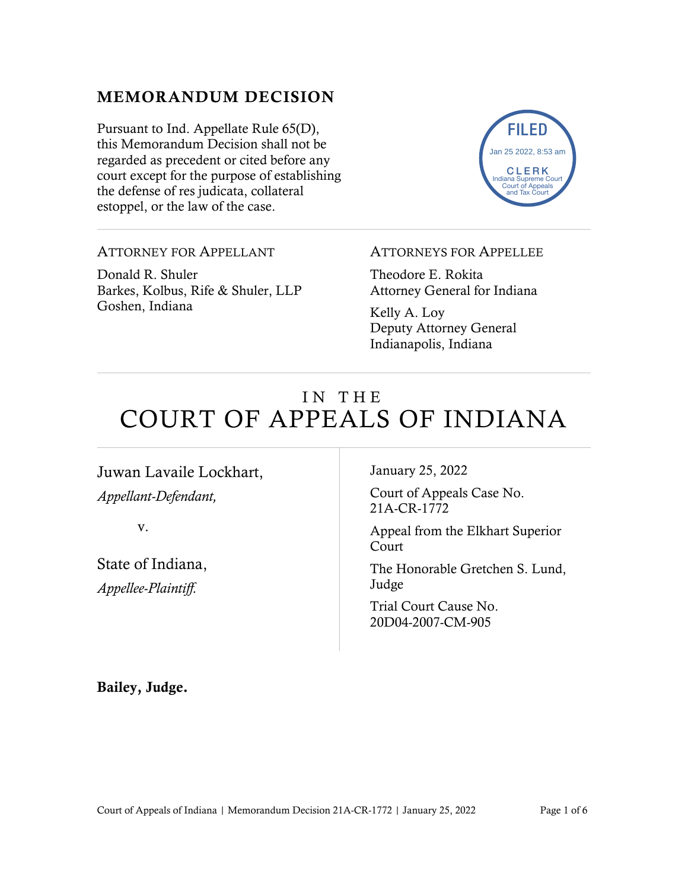#### MEMORANDUM DECISION

Pursuant to Ind. Appellate Rule 65(D), this Memorandum Decision shall not be regarded as precedent or cited before any court except for the purpose of establishing the defense of res judicata, collateral estoppel, or the law of the case.



#### ATTORNEY FOR APPELLANT

Donald R. Shuler Barkes, Kolbus, Rife & Shuler, LLP Goshen, Indiana

#### ATTORNEYS FOR APPELLEE

Theodore E. Rokita Attorney General for Indiana

Kelly A. Loy Deputy Attorney General Indianapolis, Indiana

# IN THE COURT OF APPEALS OF INDIANA

Juwan Lavaile Lockhart, *Appellant-Defendant,*

v.

State of Indiana, *Appellee-Plaintiff.*

January 25, 2022

Court of Appeals Case No. 21A-CR-1772

Appeal from the Elkhart Superior Court

The Honorable Gretchen S. Lund, Judge

Trial Court Cause No. 20D04-2007-CM-905

Bailey, Judge.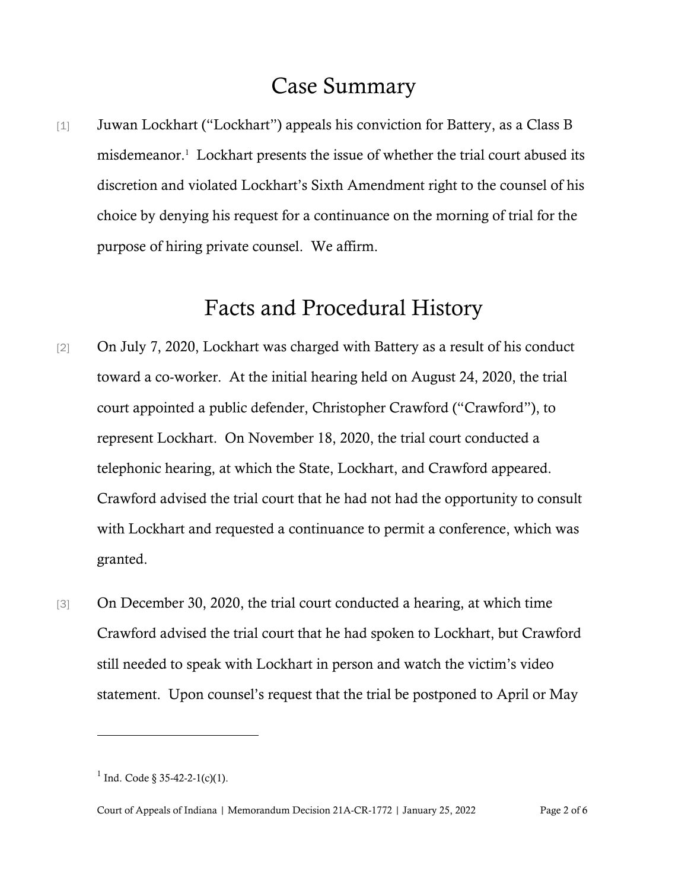### Case Summary

[1] Juwan Lockhart ("Lockhart") appeals his conviction for Battery, as a Class B misdemeanor.<sup>1</sup> Lockhart presents the issue of whether the trial court abused its discretion and violated Lockhart's Sixth Amendment right to the counsel of his choice by denying his request for a continuance on the morning of trial for the purpose of hiring private counsel. We affirm.

### Facts and Procedural History

- [2] On July 7, 2020, Lockhart was charged with Battery as a result of his conduct toward a co-worker. At the initial hearing held on August 24, 2020, the trial court appointed a public defender, Christopher Crawford ("Crawford"), to represent Lockhart. On November 18, 2020, the trial court conducted a telephonic hearing, at which the State, Lockhart, and Crawford appeared. Crawford advised the trial court that he had not had the opportunity to consult with Lockhart and requested a continuance to permit a conference, which was granted.
- [3] On December 30, 2020, the trial court conducted a hearing, at which time Crawford advised the trial court that he had spoken to Lockhart, but Crawford still needed to speak with Lockhart in person and watch the victim's video statement. Upon counsel's request that the trial be postponed to April or May

<sup>&</sup>lt;sup>1</sup> Ind. Code § 35-42-2-1(c)(1).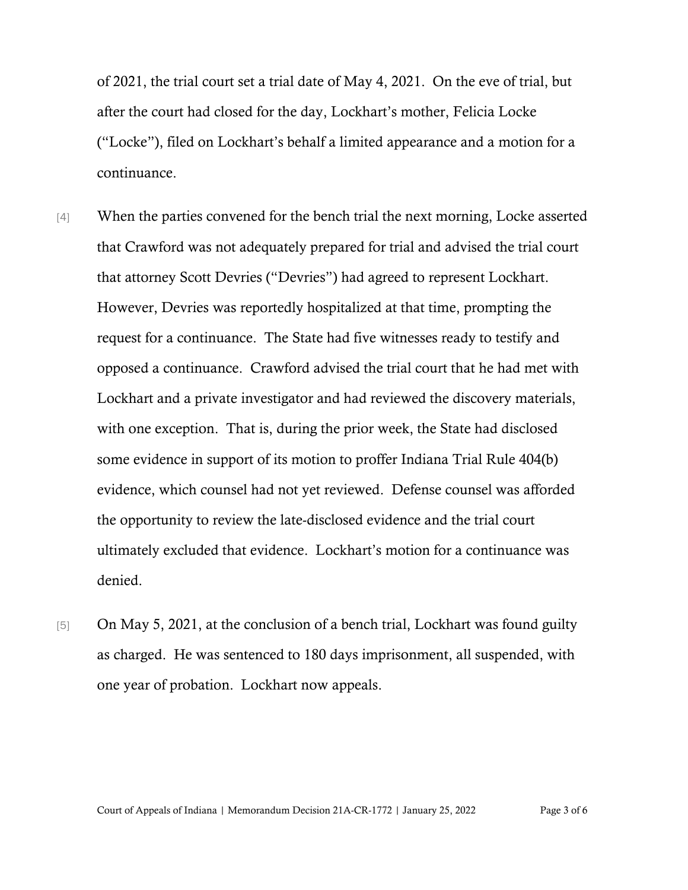of 2021, the trial court set a trial date of May 4, 2021. On the eve of trial, but after the court had closed for the day, Lockhart's mother, Felicia Locke ("Locke"), filed on Lockhart's behalf a limited appearance and a motion for a continuance.

- [4] When the parties convened for the bench trial the next morning, Locke asserted that Crawford was not adequately prepared for trial and advised the trial court that attorney Scott Devries ("Devries") had agreed to represent Lockhart. However, Devries was reportedly hospitalized at that time, prompting the request for a continuance. The State had five witnesses ready to testify and opposed a continuance. Crawford advised the trial court that he had met with Lockhart and a private investigator and had reviewed the discovery materials, with one exception. That is, during the prior week, the State had disclosed some evidence in support of its motion to proffer Indiana Trial Rule 404(b) evidence, which counsel had not yet reviewed. Defense counsel was afforded the opportunity to review the late-disclosed evidence and the trial court ultimately excluded that evidence. Lockhart's motion for a continuance was denied.
- [5] On May 5, 2021, at the conclusion of a bench trial, Lockhart was found guilty as charged. He was sentenced to 180 days imprisonment, all suspended, with one year of probation. Lockhart now appeals.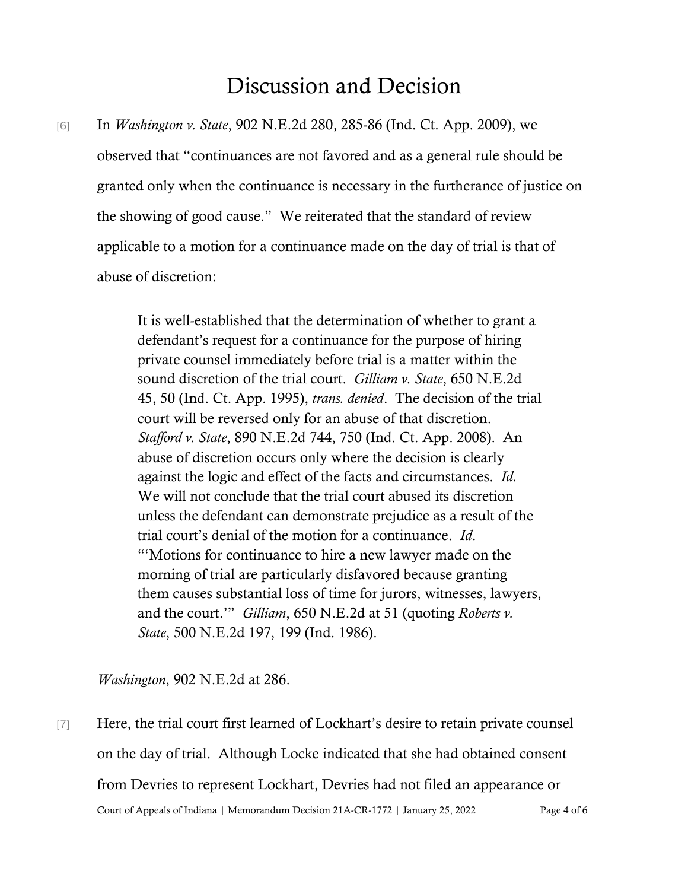## Discussion and Decision

[6] In *Washington v. State*, 902 N.E.2d 280, 285-86 (Ind. Ct. App. 2009), we observed that "continuances are not favored and as a general rule should be granted only when the continuance is necessary in the furtherance of justice on the showing of good cause." We reiterated that the standard of review applicable to a motion for a continuance made on the day of trial is that of abuse of discretion:

> It is well-established that the determination of whether to grant a defendant's request for a continuance for the purpose of hiring private counsel immediately before trial is a matter within the sound discretion of the trial court. *Gilliam v. State*, 650 N.E.2d 45, 50 (Ind. Ct. App. 1995), *trans. denied*. The decision of the trial court will be reversed only for an abuse of that discretion. *Stafford v. State*, 890 N.E.2d 744, 750 (Ind. Ct. App. 2008). An abuse of discretion occurs only where the decision is clearly against the logic and effect of the facts and circumstances. *Id.*  We will not conclude that the trial court abused its discretion unless the defendant can demonstrate prejudice as a result of the trial court's denial of the motion for a continuance. *Id*. "'Motions for continuance to hire a new lawyer made on the morning of trial are particularly disfavored because granting them causes substantial loss of time for jurors, witnesses, lawyers, and the court.'" *Gilliam*, 650 N.E.2d at 51 (quoting *Roberts v. State*, 500 N.E.2d 197, 199 (Ind. 1986).

*Washington*, 902 N.E.2d at 286.

Court of Appeals of Indiana | Memorandum Decision 21A-CR-1772 | January 25, 2022 Page 4 of 6 [7] Here, the trial court first learned of Lockhart's desire to retain private counsel on the day of trial. Although Locke indicated that she had obtained consent from Devries to represent Lockhart, Devries had not filed an appearance or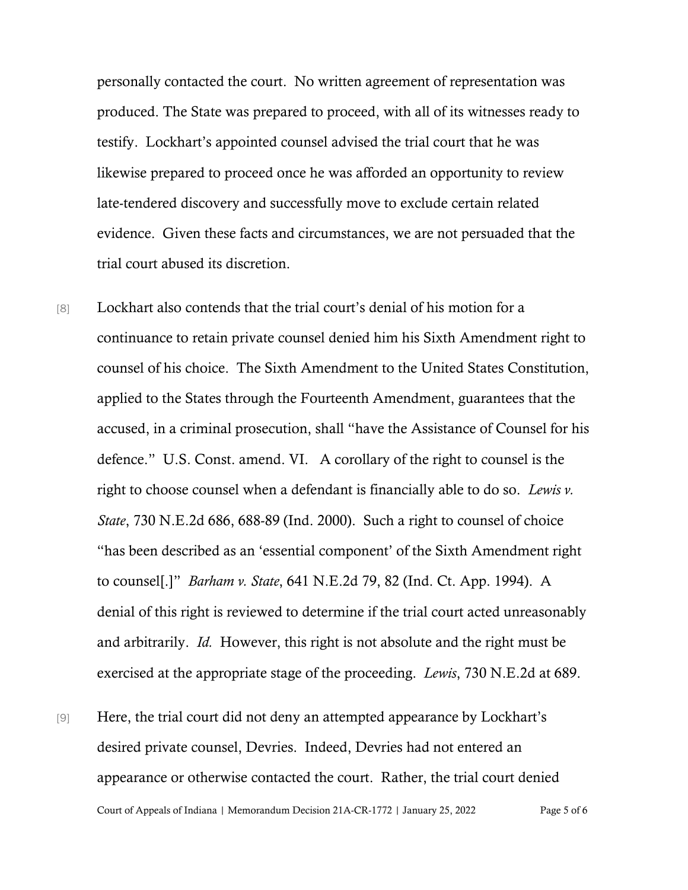personally contacted the court. No written agreement of representation was produced. The State was prepared to proceed, with all of its witnesses ready to testify. Lockhart's appointed counsel advised the trial court that he was likewise prepared to proceed once he was afforded an opportunity to review late-tendered discovery and successfully move to exclude certain related evidence. Given these facts and circumstances, we are not persuaded that the trial court abused its discretion.

- [8] Lockhart also contends that the trial court's denial of his motion for a continuance to retain private counsel denied him his Sixth Amendment right to counsel of his choice. The Sixth Amendment to the United States Constitution, applied to the States through the Fourteenth Amendment, guarantees that the accused, in a criminal prosecution, shall "have the Assistance of Counsel for his defence." U.S. Const. amend. VI. A corollary of the right to counsel is the right to choose counsel when a defendant is financially able to do so. *Lewis v. State*, 730 N.E.2d 686, 688-89 (Ind. 2000). Such a right to counsel of choice "has been described as an 'essential component' of the Sixth Amendment right to counsel[.]" *Barham v. State*, 641 N.E.2d 79, 82 (Ind. Ct. App. 1994). A denial of this right is reviewed to determine if the trial court acted unreasonably and arbitrarily. *Id.* However, this right is not absolute and the right must be exercised at the appropriate stage of the proceeding. *Lewis*, 730 N.E.2d at 689.
- Court of Appeals of Indiana | Memorandum Decision 21A-CR-1772 | January 25, 2022 Page 5 of 6 [9] Here, the trial court did not deny an attempted appearance by Lockhart's desired private counsel, Devries. Indeed, Devries had not entered an appearance or otherwise contacted the court. Rather, the trial court denied